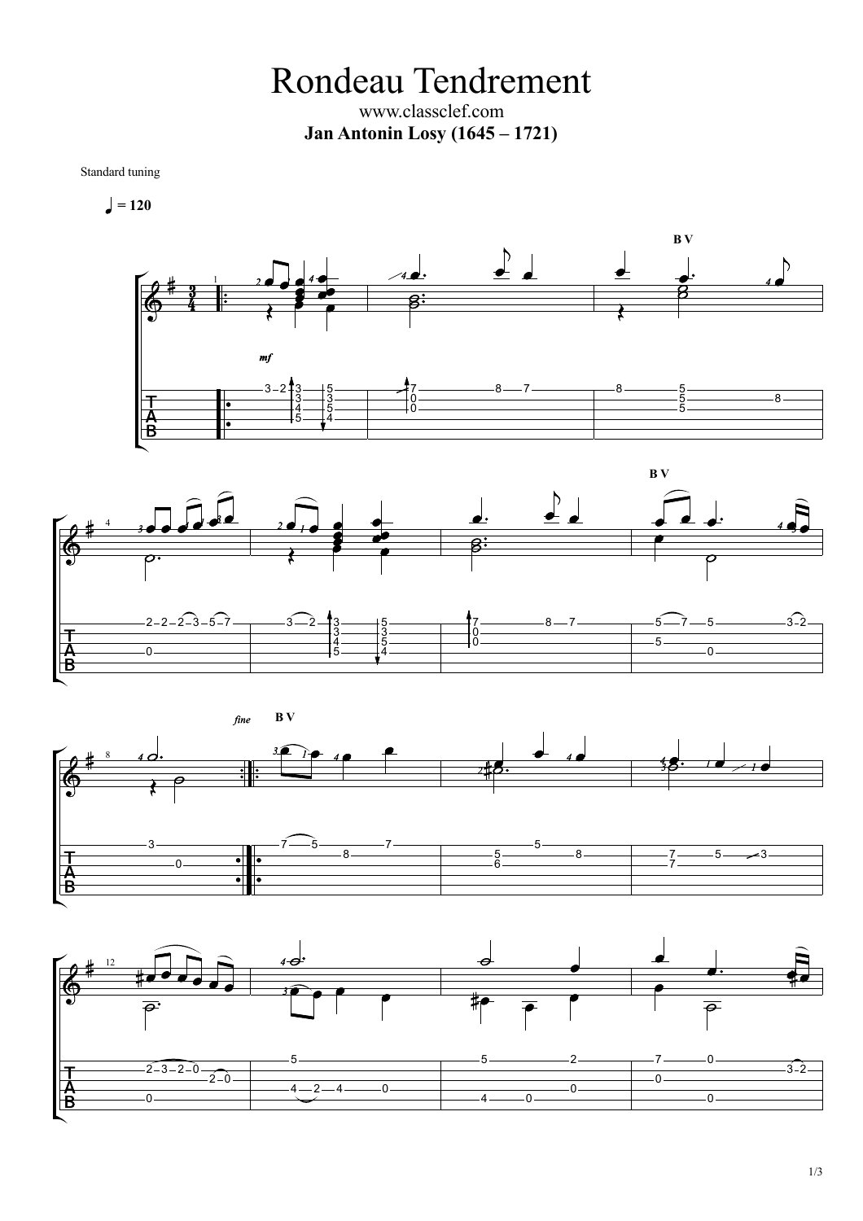Rondeau Tendrement www.classclef.com **Jan Antonin Losy (1645 – 1721)**

Standard tuning

 $= 120$ 







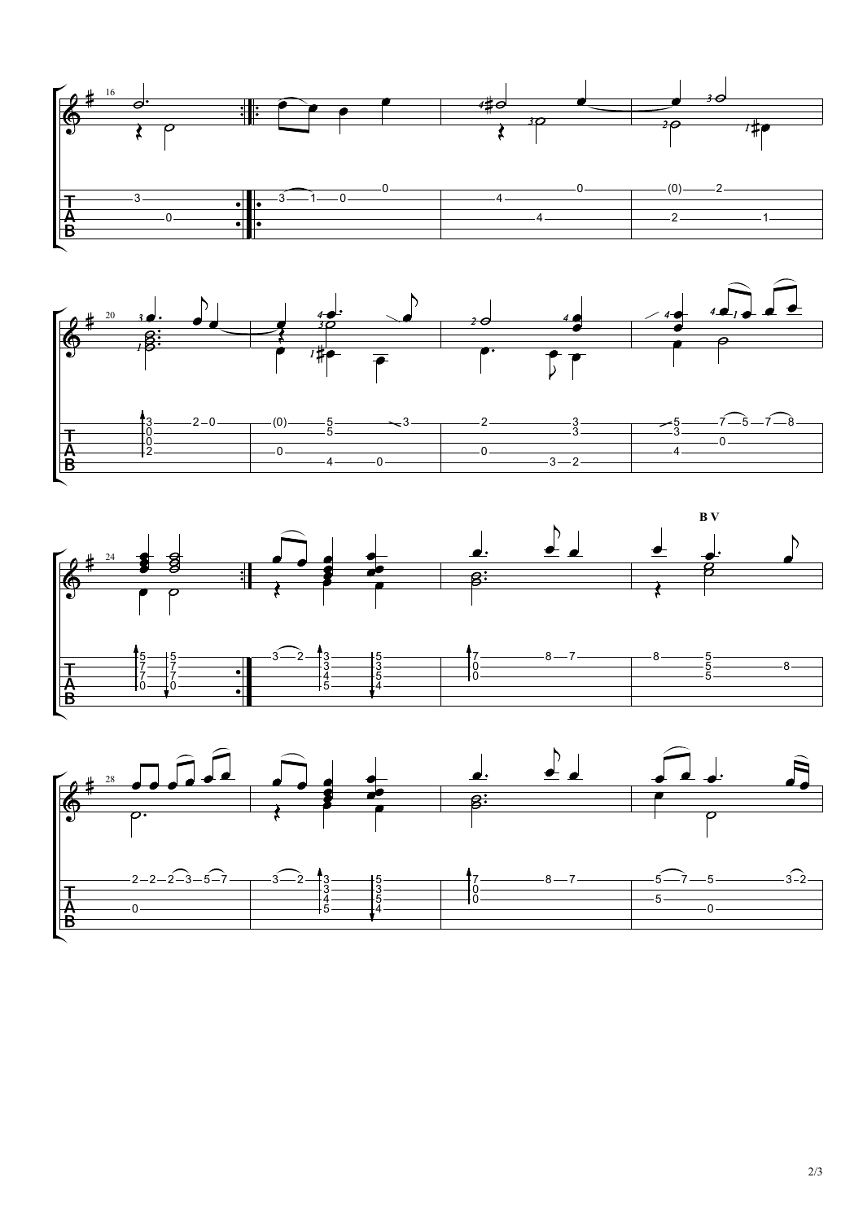